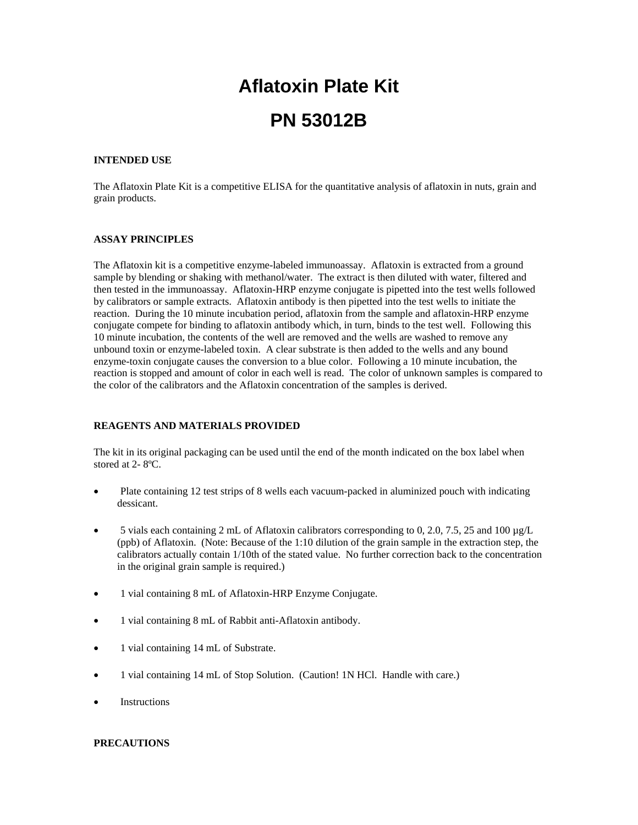# **Aflatoxin Plate Kit PN 53012B**

## **INTENDED USE**

The Aflatoxin Plate Kit is a competitive ELISA for the quantitative analysis of aflatoxin in nuts, grain and grain products.

## **ASSAY PRINCIPLES**

The Aflatoxin kit is a competitive enzyme-labeled immunoassay. Aflatoxin is extracted from a ground sample by blending or shaking with methanol/water. The extract is then diluted with water, filtered and then tested in the immunoassay. Aflatoxin-HRP enzyme conjugate is pipetted into the test wells followed by calibrators or sample extracts. Aflatoxin antibody is then pipetted into the test wells to initiate the reaction. During the 10 minute incubation period, aflatoxin from the sample and aflatoxin-HRP enzyme conjugate compete for binding to aflatoxin antibody which, in turn, binds to the test well. Following this 10 minute incubation, the contents of the well are removed and the wells are washed to remove any unbound toxin or enzyme-labeled toxin. A clear substrate is then added to the wells and any bound enzyme-toxin conjugate causes the conversion to a blue color. Following a 10 minute incubation, the reaction is stopped and amount of color in each well is read. The color of unknown samples is compared to the color of the calibrators and the Aflatoxin concentration of the samples is derived.

# **REAGENTS AND MATERIALS PROVIDED**

The kit in its original packaging can be used until the end of the month indicated on the box label when stored at 2- 8ºC.

- Plate containing 12 test strips of 8 wells each vacuum-packed in aluminized pouch with indicating dessicant.
- 5 vials each containing 2 mL of Aflatoxin calibrators corresponding to 0, 2.0, 7.5, 25 and 100 µg/L (ppb) of Aflatoxin. (Note: Because of the 1:10 dilution of the grain sample in the extraction step, the calibrators actually contain 1/10th of the stated value. No further correction back to the concentration in the original grain sample is required.)
- 1 vial containing 8 mL of Aflatoxin-HRP Enzyme Conjugate.
- 1 vial containing 8 mL of Rabbit anti-Aflatoxin antibody.
- 1 vial containing 14 mL of Substrate.
- 1 vial containing 14 mL of Stop Solution. (Caution! 1N HCl. Handle with care.)
- **Instructions**

# **PRECAUTIONS**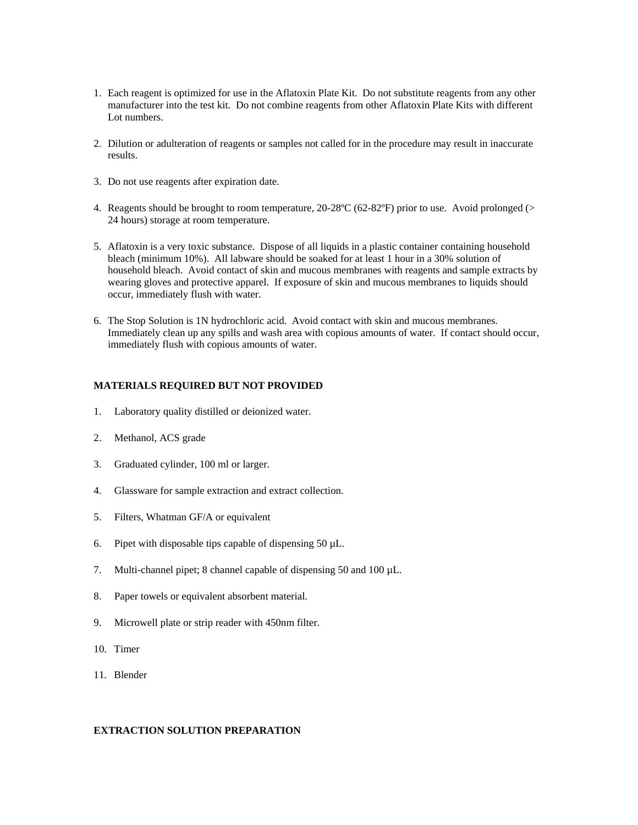- 1. Each reagent is optimized for use in the Aflatoxin Plate Kit. Do not substitute reagents from any other manufacturer into the test kit. Do not combine reagents from other Aflatoxin Plate Kits with different Lot numbers.
- 2. Dilution or adulteration of reagents or samples not called for in the procedure may result in inaccurate results.
- 3. Do not use reagents after expiration date.
- 4. Reagents should be brought to room temperature, 20-28ºC (62-82ºF) prior to use. Avoid prolonged (> 24 hours) storage at room temperature.
- 5. Aflatoxin is a very toxic substance. Dispose of all liquids in a plastic container containing household bleach (minimum 10%). All labware should be soaked for at least 1 hour in a 30% solution of household bleach. Avoid contact of skin and mucous membranes with reagents and sample extracts by wearing gloves and protective apparel. If exposure of skin and mucous membranes to liquids should occur, immediately flush with water.
- 6. The Stop Solution is 1N hydrochloric acid. Avoid contact with skin and mucous membranes. Immediately clean up any spills and wash area with copious amounts of water. If contact should occur, immediately flush with copious amounts of water.

#### **MATERIALS REQUIRED BUT NOT PROVIDED**

- 1. Laboratory quality distilled or deionized water.
- 2. Methanol, ACS grade
- 3. Graduated cylinder, 100 ml or larger.
- 4. Glassware for sample extraction and extract collection.
- 5. Filters, Whatman GF/A or equivalent
- 6. Pipet with disposable tips capable of dispensing  $50 \mu L$ .
- 7. Multi-channel pipet; 8 channel capable of dispensing 50 and 100 µL.
- 8. Paper towels or equivalent absorbent material.
- 9. Microwell plate or strip reader with 450nm filter.
- 10. Timer
- 11. Blender

### **EXTRACTION SOLUTION PREPARATION**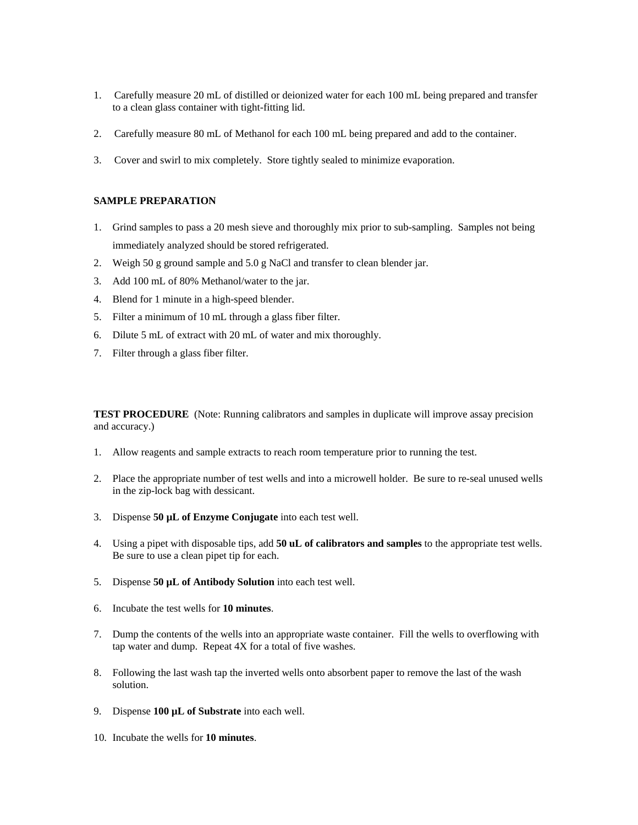- 1. Carefully measure 20 mL of distilled or deionized water for each 100 mL being prepared and transfer to a clean glass container with tight-fitting lid.
- 2. Carefully measure 80 mL of Methanol for each 100 mL being prepared and add to the container.
- 3. Cover and swirl to mix completely. Store tightly sealed to minimize evaporation.

## **SAMPLE PREPARATION**

- 1. Grind samples to pass a 20 mesh sieve and thoroughly mix prior to sub-sampling. Samples not being immediately analyzed should be stored refrigerated.
- 2. Weigh 50 g ground sample and 5.0 g NaCl and transfer to clean blender jar.
- 3. Add 100 mL of 80% Methanol/water to the jar.
- 4. Blend for 1 minute in a high-speed blender.
- 5. Filter a minimum of 10 mL through a glass fiber filter.
- 6. Dilute 5 mL of extract with 20 mL of water and mix thoroughly.
- 7. Filter through a glass fiber filter.

**TEST PROCEDURE** (Note: Running calibrators and samples in duplicate will improve assay precision and accuracy.)

- 1. Allow reagents and sample extracts to reach room temperature prior to running the test.
- 2. Place the appropriate number of test wells and into a microwell holder. Be sure to re-seal unused wells in the zip-lock bag with dessicant.
- 3. Dispense **50 µL of Enzyme Conjugate** into each test well.
- 4. Using a pipet with disposable tips, add **50 uL of calibrators and samples** to the appropriate test wells. Be sure to use a clean pipet tip for each.
- 5. Dispense **50 µL of Antibody Solution** into each test well.
- 6. Incubate the test wells for **10 minutes**.
- 7. Dump the contents of the wells into an appropriate waste container. Fill the wells to overflowing with tap water and dump. Repeat 4X for a total of five washes.
- 8. Following the last wash tap the inverted wells onto absorbent paper to remove the last of the wash solution.
- 9. Dispense **100 µL of Substrate** into each well.
- 10. Incubate the wells for **10 minutes**.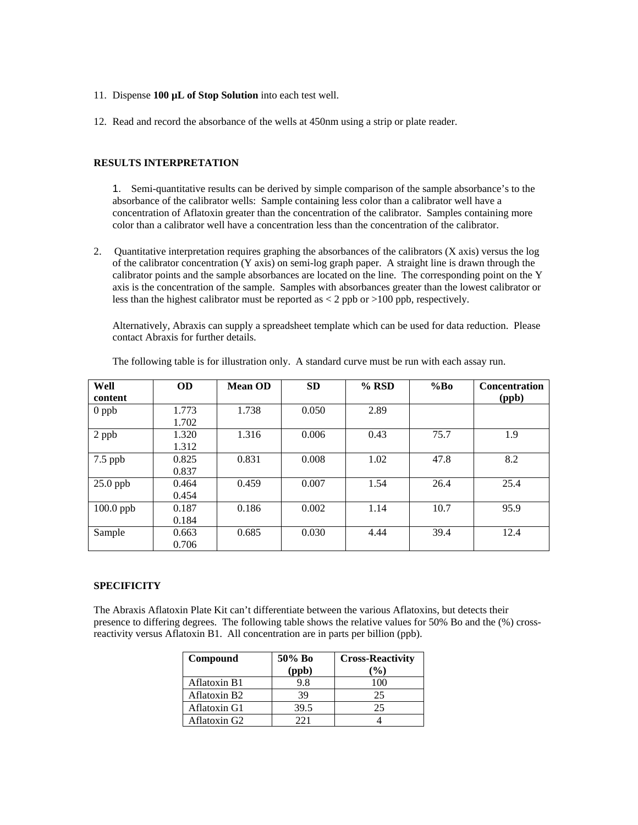- 11. Dispense **100 µL of Stop Solution** into each test well.
- 12. Read and record the absorbance of the wells at 450nm using a strip or plate reader.

## **RESULTS INTERPRETATION**

1. Semi-quantitative results can be derived by simple comparison of the sample absorbance's to the absorbance of the calibrator wells: Sample containing less color than a calibrator well have a concentration of Aflatoxin greater than the concentration of the calibrator. Samples containing more color than a calibrator well have a concentration less than the concentration of the calibrator.

2. Quantitative interpretation requires graphing the absorbances of the calibrators (X axis) versus the log of the calibrator concentration (Y axis) on semi-log graph paper. A straight line is drawn through the calibrator points and the sample absorbances are located on the line. The corresponding point on the Y axis is the concentration of the sample. Samples with absorbances greater than the lowest calibrator or less than the highest calibrator must be reported as  $\lt 2$  ppb or  $>100$  ppb, respectively.

Alternatively, Abraxis can supply a spreadsheet template which can be used for data reduction. Please contact Abraxis for further details.

| Well        | <b>OD</b> | <b>Mean OD</b> | <b>SD</b> | $%$ RSD | %Bo  | <b>Concentration</b> |
|-------------|-----------|----------------|-----------|---------|------|----------------------|
| content     |           |                |           |         |      | (ppb)                |
| $0$ ppb     | 1.773     | 1.738          | 0.050     | 2.89    |      |                      |
|             | 1.702     |                |           |         |      |                      |
| 2 ppb       | 1.320     | 1.316          | 0.006     | 0.43    | 75.7 | 1.9                  |
|             | 1.312     |                |           |         |      |                      |
| $7.5$ ppb   | 0.825     | 0.831          | 0.008     | 1.02    | 47.8 | 8.2                  |
|             | 0.837     |                |           |         |      |                      |
| $25.0$ ppb  | 0.464     | 0.459          | 0.007     | 1.54    | 26.4 | 25.4                 |
|             | 0.454     |                |           |         |      |                      |
| $100.0$ ppb | 0.187     | 0.186          | 0.002     | 1.14    | 10.7 | 95.9                 |
|             | 0.184     |                |           |         |      |                      |
| Sample      | 0.663     | 0.685          | 0.030     | 4.44    | 39.4 | 12.4                 |
|             | 0.706     |                |           |         |      |                      |

The following table is for illustration only. A standard curve must be run with each assay run.

#### **SPECIFICITY**

The Abraxis Aflatoxin Plate Kit can't differentiate between the various Aflatoxins, but detects their presence to differing degrees. The following table shows the relative values for 50% Bo and the (%) crossreactivity versus Aflatoxin B1. All concentration are in parts per billion (ppb).

| Compound            | 50% Bo | <b>Cross-Reactivity</b> |  |
|---------------------|--------|-------------------------|--|
|                     | (ppb)  | $\mathcal{O}(0)$        |  |
| <b>Aflatoxin B1</b> | 9.8    |                         |  |
| Aflatoxin B2        | 39     | 25                      |  |
| Aflatoxin G1        | 39.5   | 25                      |  |
| Aflatoxin G2        | 221    |                         |  |